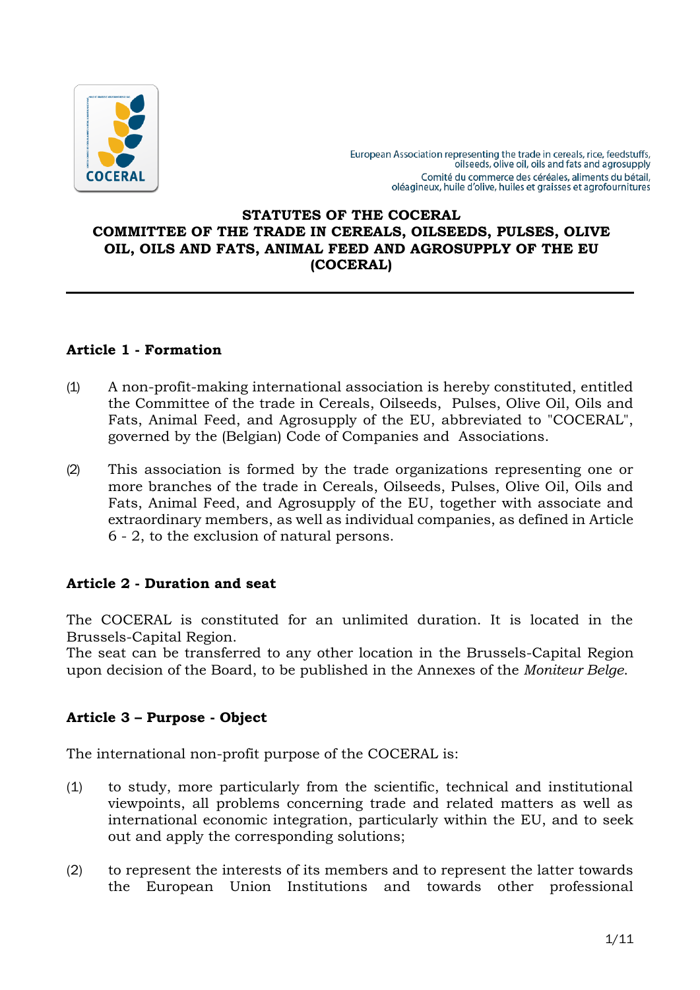

# **STATUTES OF THE COCERAL COMMITTEE OF THE TRADE IN CEREALS, OILSEEDS, PULSES, OLIVE OIL, OILS AND FATS, ANIMAL FEED AND AGROSUPPLY OF THE EU (COCERAL)**

# **Article 1 - Formation**

- (1) A non-profit-making international association is hereby constituted, entitled the Committee of the trade in Cereals, Oilseeds, Pulses, Olive Oil, Oils and Fats, Animal Feed, and Agrosupply of the EU, abbreviated to "COCERAL", governed by the (Belgian) Code of Companies and Associations.
- (2) This association is formed by the trade organizations representing one or more branches of the trade in Cereals, Oilseeds, Pulses, Olive Oil, Oils and Fats, Animal Feed, and Agrosupply of the EU, together with associate and extraordinary members, as well as individual companies, as defined in Article 6 - 2, to the exclusion of natural persons.

# **Article 2 - Duration and seat**

The COCERAL is constituted for an unlimited duration. It is located in the Brussels-Capital Region.

The seat can be transferred to any other location in the Brussels-Capital Region upon decision of the Board, to be published in the Annexes of the *Moniteur Belge*.

# **Article 3 – Purpose - Object**

The international non-profit purpose of the COCERAL is:

- (1) to study, more particularly from the scientific, technical and institutional viewpoints, all problems concerning trade and related matters as well as international economic integration, particularly within the EU, and to seek out and apply the corresponding solutions;
- (2) to represent the interests of its members and to represent the latter towards the European Union Institutions and towards other professional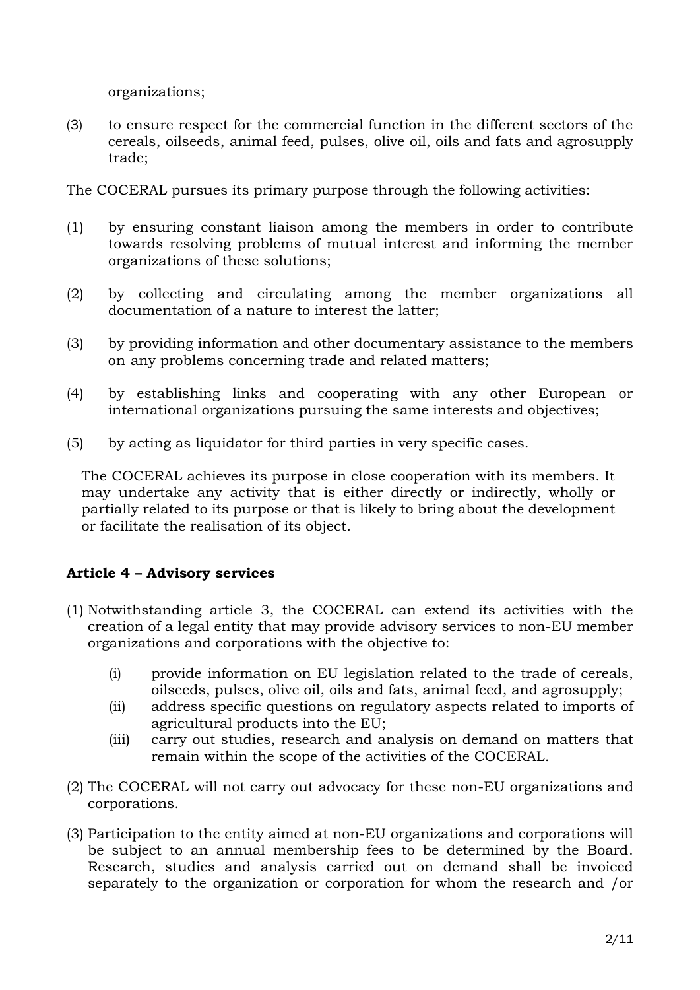organizations;

(3) to ensure respect for the commercial function in the different sectors of the cereals, oilseeds, animal feed, pulses, olive oil, oils and fats and agrosupply trade;

The COCERAL pursues its primary purpose through the following activities:

- (1) by ensuring constant liaison among the members in order to contribute towards resolving problems of mutual interest and informing the member organizations of these solutions;
- (2) by collecting and circulating among the member organizations all documentation of a nature to interest the latter;
- (3) by providing information and other documentary assistance to the members on any problems concerning trade and related matters;
- (4) by establishing links and cooperating with any other European or international organizations pursuing the same interests and objectives;
- (5) by acting as liquidator for third parties in very specific cases.

The COCERAL achieves its purpose in close cooperation with its members. It may undertake any activity that is either directly or indirectly, wholly or partially related to its purpose or that is likely to bring about the development or facilitate the realisation of its object.

# **Article 4 – Advisory services**

- (1) Notwithstanding article 3, the COCERAL can extend its activities with the creation of a legal entity that may provide advisory services to non-EU member organizations and corporations with the objective to:
	- (i) provide information on EU legislation related to the trade of cereals, oilseeds, pulses, olive oil, oils and fats, animal feed, and agrosupply;
	- (ii) address specific questions on regulatory aspects related to imports of agricultural products into the EU;
	- (iii) carry out studies, research and analysis on demand on matters that remain within the scope of the activities of the COCERAL.
- (2) The COCERAL will not carry out advocacy for these non-EU organizations and corporations.
- (3) Participation to the entity aimed at non-EU organizations and corporations will be subject to an annual membership fees to be determined by the Board. Research, studies and analysis carried out on demand shall be invoiced separately to the organization or corporation for whom the research and /or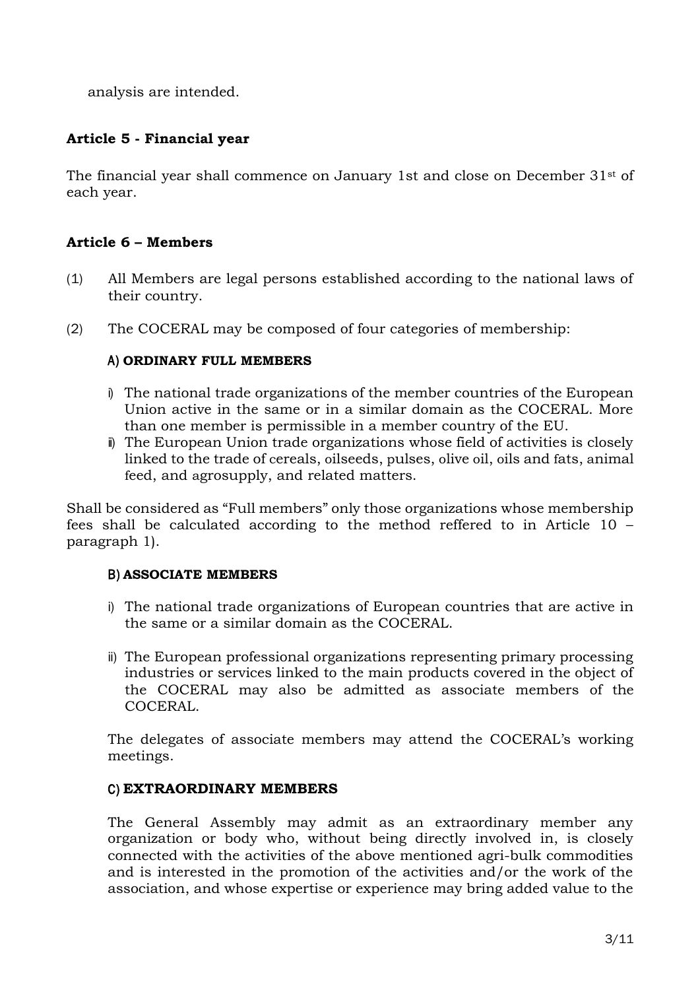analysis are intended.

# **Article 5 - Financial year**

The financial year shall commence on January 1st and close on December 31st of each year.

# **Article 6 – Members**

- (1) All Members are legal persons established according to the national laws of their country.
- (2) The COCERAL may be composed of four categories of membership:

# A) **ORDINARY FULL MEMBERS**

- i) The national trade organizations of the member countries of the European Union active in the same or in a similar domain as the COCERAL. More than one member is permissible in a member country of the EU.
- ii) The European Union trade organizations whose field of activities is closely linked to the trade of cereals, oilseeds, pulses, olive oil, oils and fats, animal feed, and agrosupply, and related matters.

Shall be considered as "Full members" only those organizations whose membership fees shall be calculated according to the method reffered to in Article 10 – paragraph 1).

## B) **ASSOCIATE MEMBERS**

- i) The national trade organizations of European countries that are active in the same or a similar domain as the COCERAL.
- ii) The European professional organizations representing primary processing industries or services linked to the main products covered in the object of the COCERAL may also be admitted as associate members of the COCERAL.

The delegates of associate members may attend the COCERAL's working meetings.

## C) **EXTRAORDINARY MEMBERS**

The General Assembly may admit as an extraordinary member any organization or body who, without being directly involved in, is closely connected with the activities of the above mentioned agri-bulk commodities and is interested in the promotion of the activities and/or the work of the association, and whose expertise or experience may bring added value to the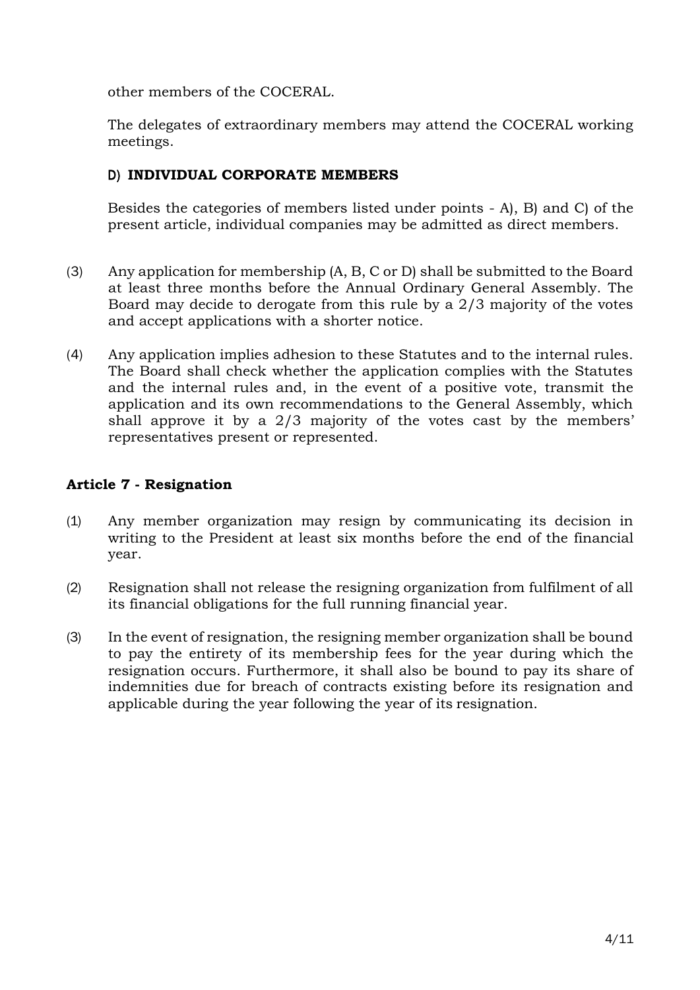other members of the COCERAL.

The delegates of extraordinary members may attend the COCERAL working meetings.

# D) **INDIVIDUAL CORPORATE MEMBERS**

Besides the categories of members listed under points - A), B) and C) of the present article, individual companies may be admitted as direct members.

- (3) Any application for membership (A, B, C or D) shall be submitted to the Board at least three months before the Annual Ordinary General Assembly. The Board may decide to derogate from this rule by a 2/3 majority of the votes and accept applications with a shorter notice.
- (4) Any application implies adhesion to these Statutes and to the internal rules. The Board shall check whether the application complies with the Statutes and the internal rules and, in the event of a positive vote, transmit the application and its own recommendations to the General Assembly, which shall approve it by a 2/3 majority of the votes cast by the members' representatives present or represented.

# **Article 7 - Resignation**

- (1) Any member organization may resign by communicating its decision in writing to the President at least six months before the end of the financial year.
- (2) Resignation shall not release the resigning organization from fulfilment of all its financial obligations for the full running financial year.
- (3) In the event of resignation, the resigning member organization shall be bound to pay the entirety of its membership fees for the year during which the resignation occurs. Furthermore, it shall also be bound to pay its share of indemnities due for breach of contracts existing before its resignation and applicable during the year following the year of its resignation.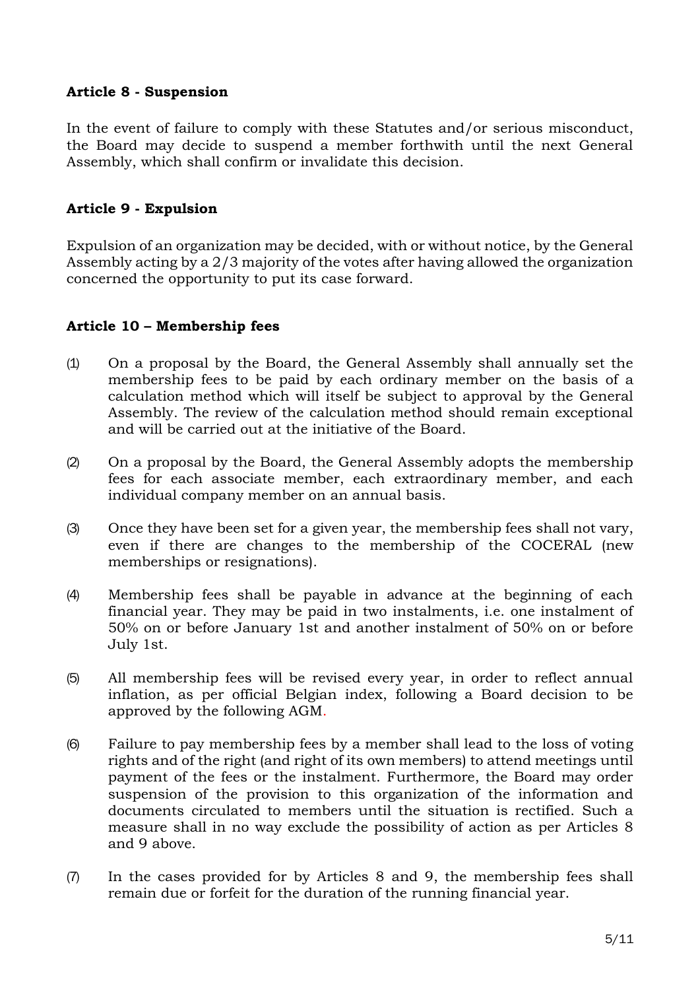# **Article 8 - Suspension**

In the event of failure to comply with these Statutes and/or serious misconduct, the Board may decide to suspend a member forthwith until the next General Assembly, which shall confirm or invalidate this decision.

# **Article 9 - Expulsion**

Expulsion of an organization may be decided, with or without notice, by the General Assembly acting by a 2/3 majority of the votes after having allowed the organization concerned the opportunity to put its case forward.

## **Article 10 – Membership fees**

- (1) On a proposal by the Board, the General Assembly shall annually set the membership fees to be paid by each ordinary member on the basis of a calculation method which will itself be subject to approval by the General Assembly. The review of the calculation method should remain exceptional and will be carried out at the initiative of the Board.
- (2) On a proposal by the Board, the General Assembly adopts the membership fees for each associate member, each extraordinary member, and each individual company member on an annual basis.
- (3) Once they have been set for a given year, the membership fees shall not vary, even if there are changes to the membership of the COCERAL (new memberships or resignations).
- (4) Membership fees shall be payable in advance at the beginning of each financial year. They may be paid in two instalments, i.e. one instalment of 50% on or before January 1st and another instalment of 50% on or before July 1st.
- (5) All membership fees will be revised every year, in order to reflect annual inflation, as per official Belgian index, following a Board decision to be approved by the following AGM.
- (6) Failure to pay membership fees by a member shall lead to the loss of voting rights and of the right (and right of its own members) to attend meetings until payment of the fees or the instalment. Furthermore, the Board may order suspension of the provision to this organization of the information and documents circulated to members until the situation is rectified. Such a measure shall in no way exclude the possibility of action as per Articles 8 and 9 above.
- (7) In the cases provided for by Articles 8 and 9, the membership fees shall remain due or forfeit for the duration of the running financial year.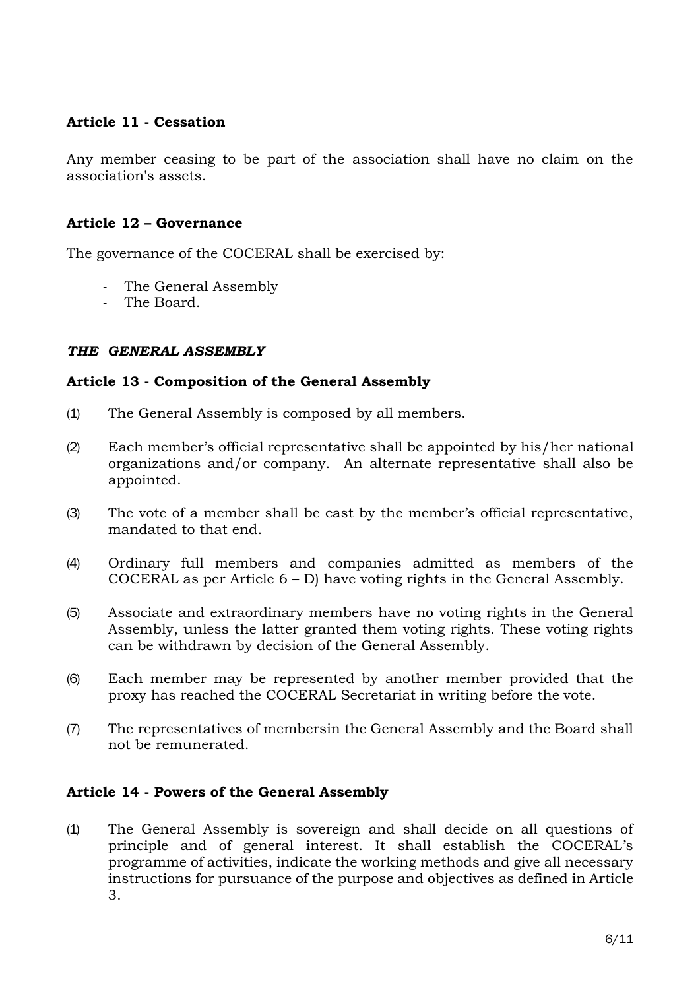# **Article 11 - Cessation**

Any member ceasing to be part of the association shall have no claim on the association's assets.

## **Article 12 – Governance**

The governance of the COCERAL shall be exercised by:

- The General Assembly
- The Board.

## *THE GENERAL ASSEMBLY*

## **Article 13 - Composition of the General Assembly**

- (1) The General Assembly is composed by all members.
- (2) Each member's official representative shall be appointed by his/her national organizations and/or company. An alternate representative shall also be appointed.
- (3) The vote of a member shall be cast by the member's official representative, mandated to that end.
- (4) Ordinary full members and companies admitted as members of the COCERAL as per Article 6 – D) have voting rights in the General Assembly.
- (5) Associate and extraordinary members have no voting rights in the General Assembly, unless the latter granted them voting rights. These voting rights can be withdrawn by decision of the General Assembly.
- (6) Each member may be represented by another member provided that the proxy has reached the COCERAL Secretariat in writing before the vote.
- (7) The representatives of membersin the General Assembly and the Board shall not be remunerated.

## **Article 14 - Powers of the General Assembly**

(1) The General Assembly is sovereign and shall decide on all questions of principle and of general interest. It shall establish the COCERAL's programme of activities, indicate the working methods and give all necessary instructions for pursuance of the purpose and objectives as defined in Article 3.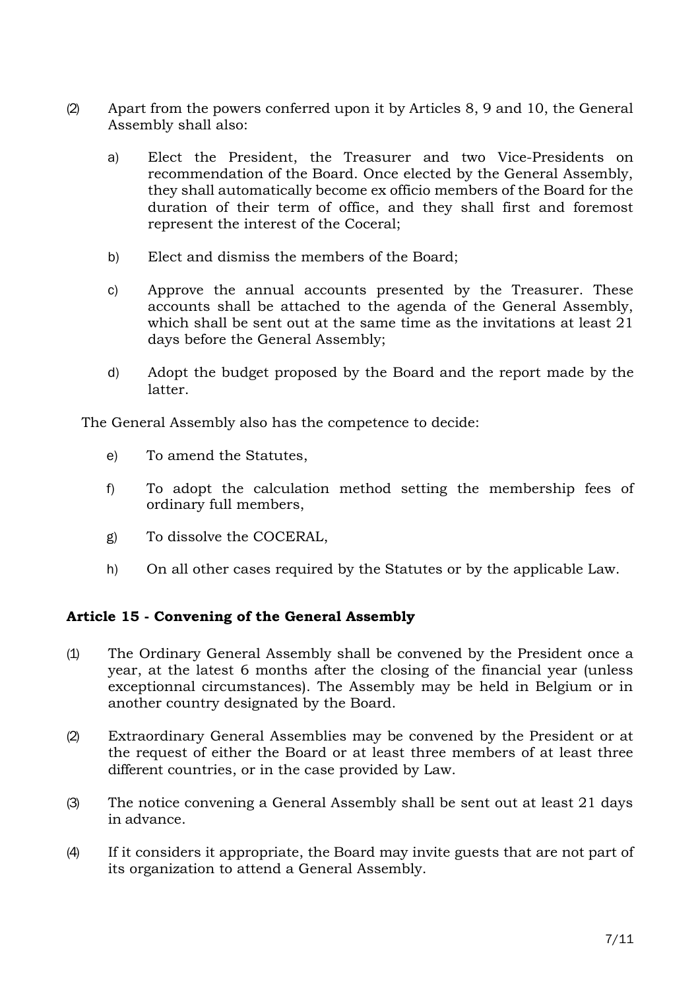- (2) Apart from the powers conferred upon it by Articles 8, 9 and 10, the General Assembly shall also:
	- a) Elect the President, the Treasurer and two Vice-Presidents on recommendation of the Board. Once elected by the General Assembly, they shall automatically become ex officio members of the Board for the duration of their term of office, and they shall first and foremost represent the interest of the Coceral;
	- b) Elect and dismiss the members of the Board;
	- c) Approve the annual accounts presented by the Treasurer. These accounts shall be attached to the agenda of the General Assembly, which shall be sent out at the same time as the invitations at least 21 days before the General Assembly;
	- d) Adopt the budget proposed by the Board and the report made by the latter.

The General Assembly also has the competence to decide:

- e) To amend the Statutes,
- f) To adopt the calculation method setting the membership fees of ordinary full members,
- g) To dissolve the COCERAL,
- h) On all other cases required by the Statutes or by the applicable Law.

# **Article 15 - Convening of the General Assembly**

- (1) The Ordinary General Assembly shall be convened by the President once a year, at the latest 6 months after the closing of the financial year (unless exceptionnal circumstances). The Assembly may be held in Belgium or in another country designated by the Board.
- (2) Extraordinary General Assemblies may be convened by the President or at the request of either the Board or at least three members of at least three different countries, or in the case provided by Law.
- (3) The notice convening a General Assembly shall be sent out at least 21 days in advance.
- (4) If it considers it appropriate, the Board may invite guests that are not part of its organization to attend a General Assembly.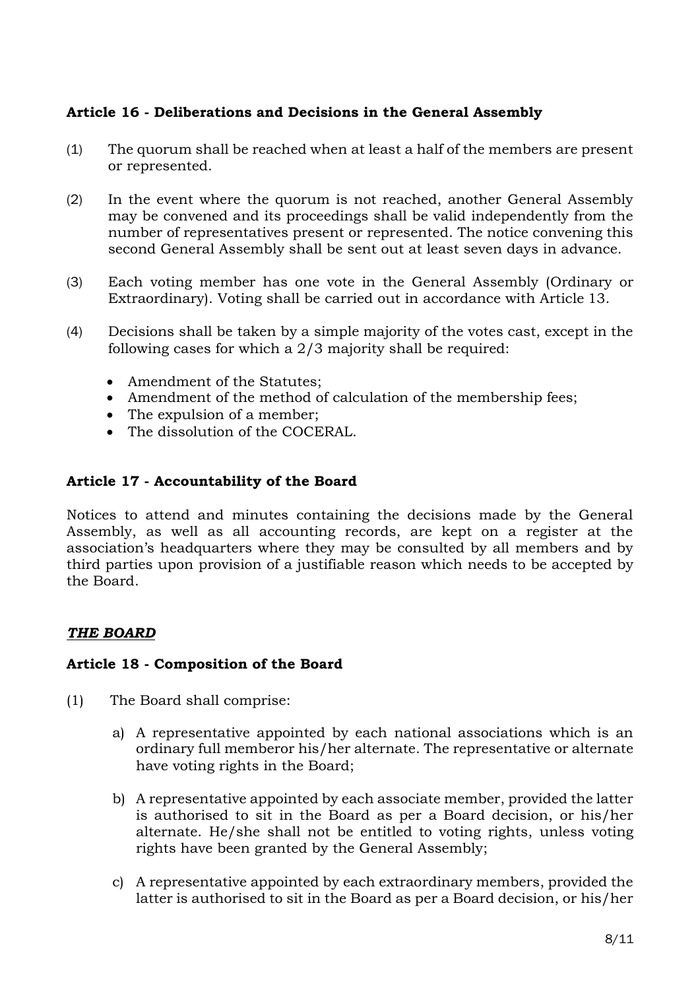# **Article 16 - Deliberations and Decisions in the General Assembly**

- (1) The quorum shall be reached when at least a half of the members are present or represented.
- (2) In the event where the quorum is not reached, another General Assembly may be convened and its proceedings shall be valid independently from the number of representatives present or represented. The notice convening this second General Assembly shall be sent out at least seven days in advance.
- (3) Each voting member has one vote in the General Assembly (Ordinary or Extraordinary). Voting shall be carried out in accordance with Article 13.
- (4) Decisions shall be taken by a simple majority of the votes cast, except in the following cases for which a 2/3 majority shall be required:
	- Amendment of the Statutes;
	- Amendment of the method of calculation of the membership fees;
	- The expulsion of a member;
	- The dissolution of the COCERAL.

# **Article 17 - Accountability of the Board**

Notices to attend and minutes containing the decisions made by the General Assembly, as well as all accounting records, are kept on a register at the association's headquarters where they may be consulted by all members and by third parties upon provision of a justifiable reason which needs to be accepted by the Board.

## *THE BOARD*

## **Article 18 - Composition of the Board**

- (1) The Board shall comprise:
	- a) A representative appointed by each national associations which is an ordinary full memberor his/her alternate. The representative or alternate have voting rights in the Board;
	- b) A representative appointed by each associate member, provided the latter is authorised to sit in the Board as per a Board decision, or his/her alternate. He/she shall not be entitled to voting rights, unless voting rights have been granted by the General Assembly;
	- c) A representative appointed by each extraordinary members, provided the latter is authorised to sit in the Board as per a Board decision, or his/her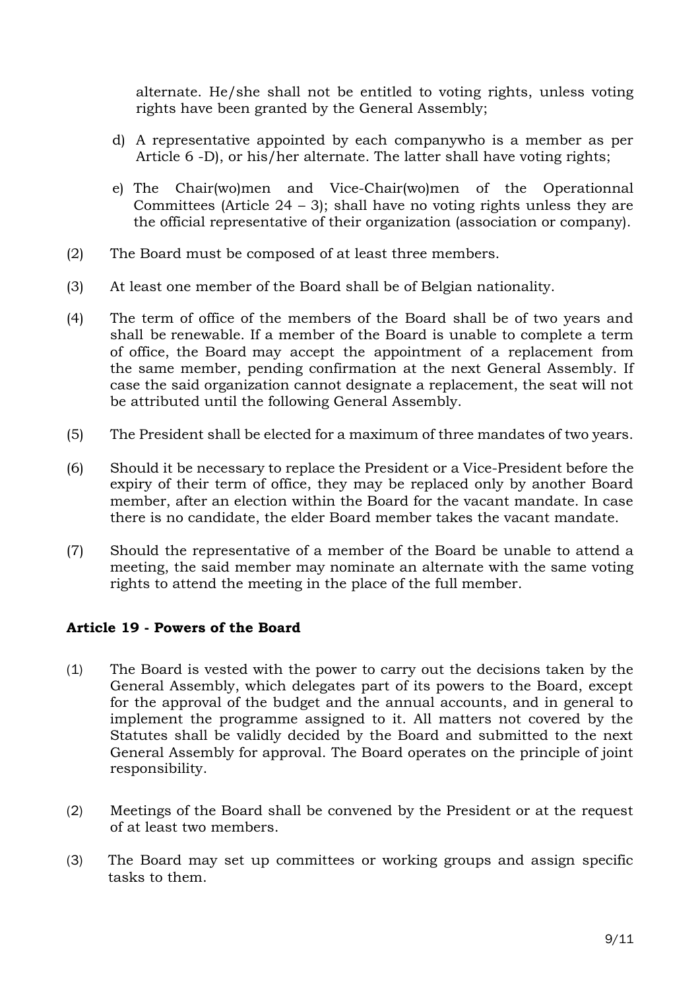alternate. He/she shall not be entitled to voting rights, unless voting rights have been granted by the General Assembly;

- d) A representative appointed by each companywho is a member as per Article 6 -D), or his/her alternate. The latter shall have voting rights;
- e) The Chair(wo)men and Vice-Chair(wo)men of the Operationnal Committees (Article  $24 - 3$ ); shall have no voting rights unless they are the official representative of their organization (association or company).
- (2) The Board must be composed of at least three members.
- (3) At least one member of the Board shall be of Belgian nationality.
- (4) The term of office of the members of the Board shall be of two years and shall be renewable. If a member of the Board is unable to complete a term of office, the Board may accept the appointment of a replacement from the same member, pending confirmation at the next General Assembly. If case the said organization cannot designate a replacement, the seat will not be attributed until the following General Assembly.
- (5) The President shall be elected for a maximum of three mandates of two years.
- (6) Should it be necessary to replace the President or a Vice-President before the expiry of their term of office, they may be replaced only by another Board member, after an election within the Board for the vacant mandate. In case there is no candidate, the elder Board member takes the vacant mandate.
- (7) Should the representative of a member of the Board be unable to attend a meeting, the said member may nominate an alternate with the same voting rights to attend the meeting in the place of the full member.

# **Article 19 - Powers of the Board**

- (1) The Board is vested with the power to carry out the decisions taken by the General Assembly, which delegates part of its powers to the Board, except for the approval of the budget and the annual accounts, and in general to implement the programme assigned to it. All matters not covered by the Statutes shall be validly decided by the Board and submitted to the next General Assembly for approval. The Board operates on the principle of joint responsibility.
- (2) Meetings of the Board shall be convened by the President or at the request of at least two members.
- (3) The Board may set up committees or working groups and assign specific tasks to them.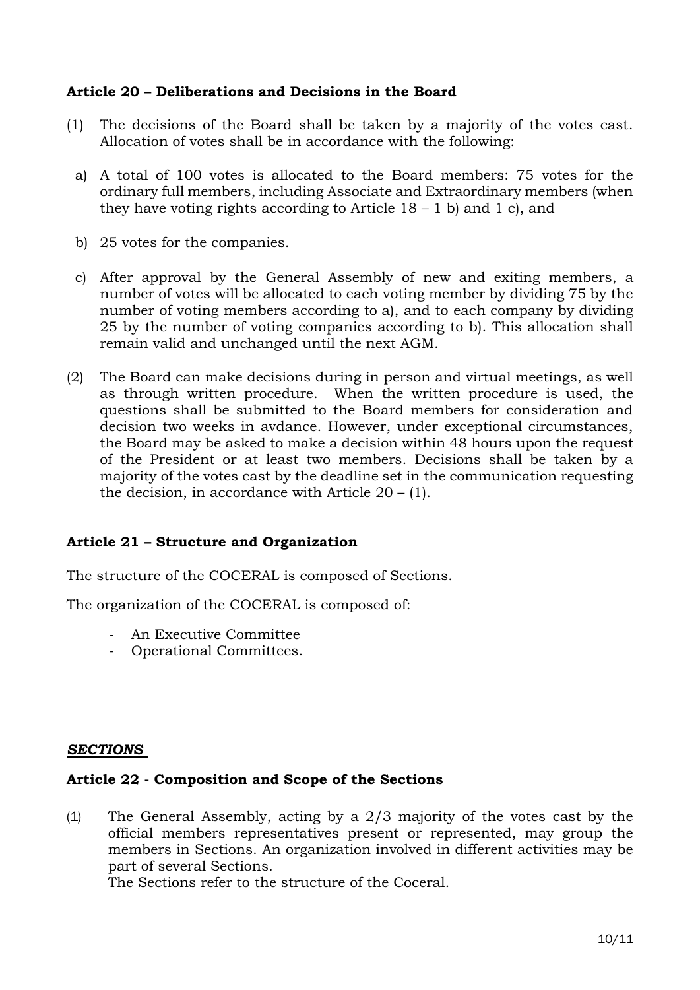## **Article 20 – Deliberations and Decisions in the Board**

- (1) The decisions of the Board shall be taken by a majority of the votes cast. Allocation of votes shall be in accordance with the following:
	- a) A total of 100 votes is allocated to the Board members: 75 votes for the ordinary full members, including Associate and Extraordinary members (when they have voting rights according to Article  $18 - 1$  b) and  $1$  c), and
	- b) 25 votes for the companies.
	- c) After approval by the General Assembly of new and exiting members, a number of votes will be allocated to each voting member by dividing 75 by the number of voting members according to a), and to each company by dividing 25 by the number of voting companies according to b). This allocation shall remain valid and unchanged until the next AGM.
- (2) The Board can make decisions during in person and virtual meetings, as well as through written procedure. When the written procedure is used, the questions shall be submitted to the Board members for consideration and decision two weeks in avdance. However, under exceptional circumstances, the Board may be asked to make a decision within 48 hours upon the request of the President or at least two members. Decisions shall be taken by a majority of the votes cast by the deadline set in the communication requesting the decision, in accordance with Article  $20 - (1)$ .

# **Article 21 – Structure and Organization**

The structure of the COCERAL is composed of Sections.

The organization of the COCERAL is composed of:

- An Executive Committee
- Operational Committees.

## *SECTIONS*

## **Article 22 - Composition and Scope of the Sections**

(1) The General Assembly, acting by a 2/3 majority of the votes cast by the official members representatives present or represented, may group the members in Sections. An organization involved in different activities may be part of several Sections.

The Sections refer to the structure of the Coceral.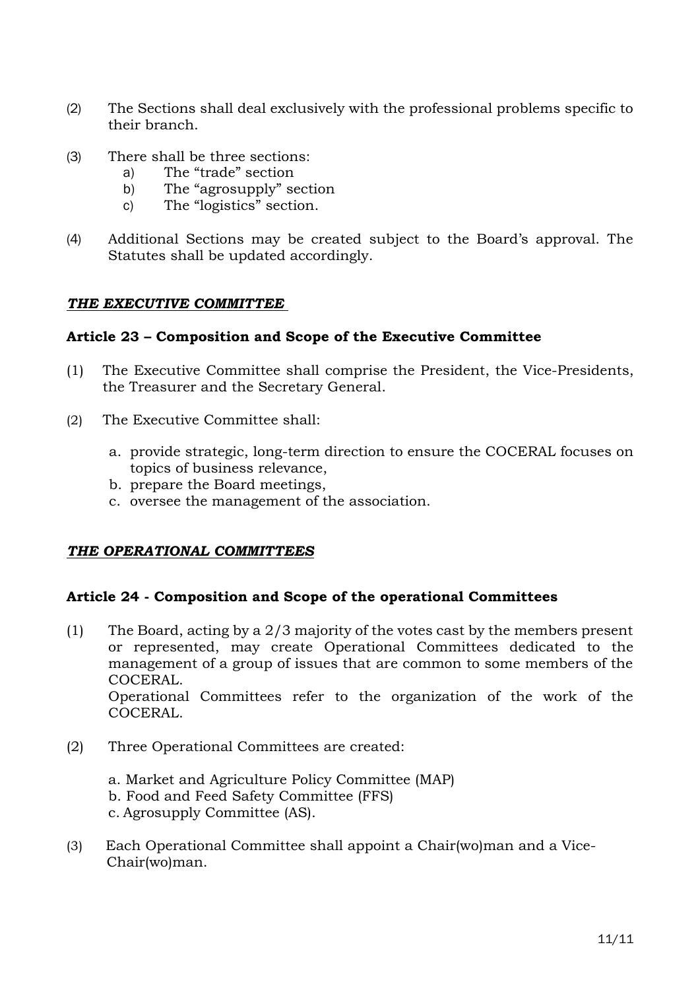- (2) The Sections shall deal exclusively with the professional problems specific to their branch.
- (3) There shall be three sections:
	- a) The "trade" section
	- b) The "agrosupply" section
	- c) The "logistics" section.
- (4) Additional Sections may be created subject to the Board's approval. The Statutes shall be updated accordingly.

#### *THE EXECUTIVE COMMITTEE*

## **Article 23 – Composition and Scope of the Executive Committee**

- (1) The Executive Committee shall comprise the President, the Vice-Presidents, the Treasurer and the Secretary General.
- (2) The Executive Committee shall:
	- a. provide strategic, long-term direction to ensure the COCERAL focuses on topics of business relevance,
	- b. prepare the Board meetings,
	- c. oversee the management of the association.

## *THE OPERATIONAL COMMITTEES*

## **Article 24 - Composition and Scope of the operational Committees**

- (1) The Board, acting by a 2/3 majority of the votes cast by the members present or represented, may create Operational Committees dedicated to the management of a group of issues that are common to some members of the COCERAL. Operational Committees refer to the organization of the work of the
	- COCERAL.
- (2) Three Operational Committees are created:
	- a. Market and Agriculture Policy Committee (MAP) b. Food and Feed Safety Committee (FFS) c. Agrosupply Committee (AS).
- (3) Each Operational Committee shall appoint a Chair(wo)man and a Vice-Chair(wo)man.